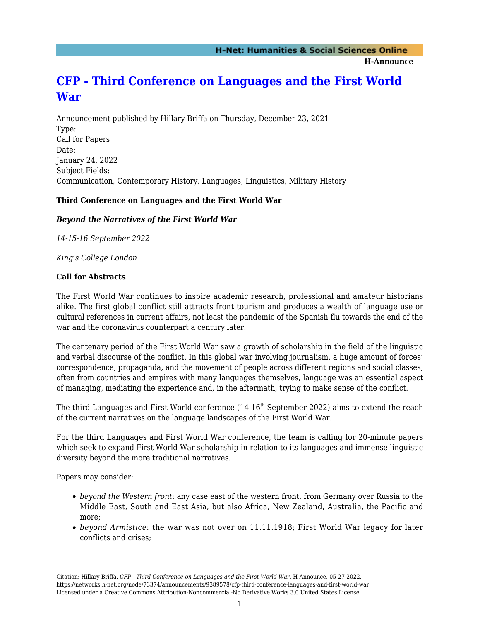**H-Announce** 

# **[CFP - Third Conference on Languages and the First World](https://networks.h-net.org/node/73374/announcements/9389578/cfp-third-conference-languages-and-first-world-war) [War](https://networks.h-net.org/node/73374/announcements/9389578/cfp-third-conference-languages-and-first-world-war)**

Announcement published by Hillary Briffa on Thursday, December 23, 2021 Type: Call for Papers Date: January 24, 2022 Subject Fields: Communication, Contemporary History, Languages, Linguistics, Military History

#### **Third Conference on Languages and the First World War**

#### *Beyond the Narratives of the First World War*

*14-15-16 September 2022*

*King's College London*

#### **Call for Abstracts**

The First World War continues to inspire academic research, professional and amateur historians alike. The first global conflict still attracts front tourism and produces a wealth of language use or cultural references in current affairs, not least the pandemic of the Spanish flu towards the end of the war and the coronavirus counterpart a century later.

The centenary period of the First World War saw a growth of scholarship in the field of the linguistic and verbal discourse of the conflict. In this global war involving journalism, a huge amount of forces' correspondence, propaganda, and the movement of people across different regions and social classes, often from countries and empires with many languages themselves, language was an essential aspect of managing, mediating the experience and, in the aftermath, trying to make sense of the conflict.

The third Languages and First World conference  $(14{\text -}16^{\text{th}}$  September 2022) aims to extend the reach of the current narratives on the language landscapes of the First World War.

For the third Languages and First World War conference, the team is calling for 20-minute papers which seek to expand First World War scholarship in relation to its languages and immense linguistic diversity beyond the more traditional narratives.

Papers may consider:

- *beyond the Western front*: any case east of the western front, from Germany over Russia to the Middle East, South and East Asia, but also Africa, New Zealand, Australia, the Pacific and more;
- *beyond Armistice*: the war was not over on 11.11.1918; First World War legacy for later conflicts and crises;

Citation: Hillary Briffa. *CFP - Third Conference on Languages and the First World War*. H-Announce. 05-27-2022. https://networks.h-net.org/node/73374/announcements/9389578/cfp-third-conference-languages-and-first-world-war Licensed under a Creative Commons Attribution-Noncommercial-No Derivative Works 3.0 United States License.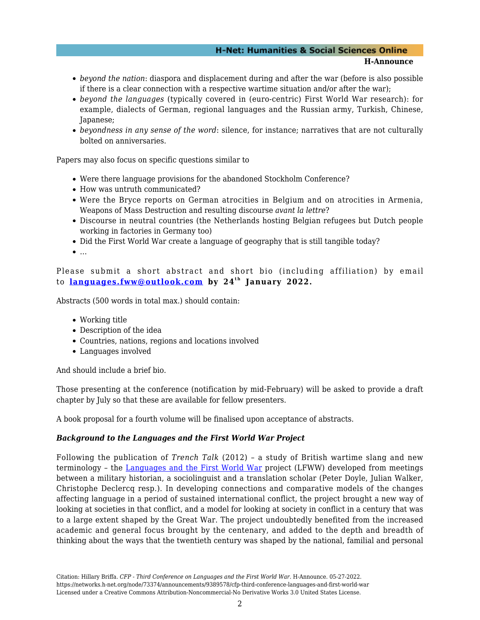### **H-Net: Humanities & Social Sciences Online**

**H-Announce** 

- *beyond the nation*: diaspora and displacement during and after the war (before is also possible if there is a clear connection with a respective wartime situation and/or after the war);
- *beyond the languages* (typically covered in (euro-centric) First World War research): for example, dialects of German, regional languages and the Russian army, Turkish, Chinese, Japanese;
- *beyondness in any sense of the word*: silence, for instance; narratives that are not culturally bolted on anniversaries.

Papers may also focus on specific questions similar to

- Were there language provisions for the abandoned Stockholm Conference?
- How was untruth communicated?
- Were the Bryce reports on German atrocities in Belgium and on atrocities in Armenia, Weapons of Mass Destruction and resulting discourse *avant la lettre*?
- Discourse in neutral countries (the Netherlands hosting Belgian refugees but Dutch people working in factories in Germany too)
- Did the First World War create a language of geography that is still tangible today?
- $\bullet$  ...

Please submit a short abstract and short bio (including affiliation) by email to **[languages.fww@outlook.com](mailto:languages.fww@outlook.com)** by 24<sup>th</sup> January 2022.

Abstracts (500 words in total max.) should contain:

- Working title
- Description of the idea
- Countries, nations, regions and locations involved
- Languages involved

And should include a brief bio.

Those presenting at the conference (notification by mid-February) will be asked to provide a draft chapter by July so that these are available for fellow presenters.

A book proposal for a fourth volume will be finalised upon acceptance of abstracts.

#### *Background to the Languages and the First World War Project*

Following the publication of *Trench Talk* (2012) – a study of British wartime slang and new terminology – the [Languages and the First World War](https://languagesandthefirstworldwar.wordpress.com/) project (LFWW) developed from meetings between a military historian, a sociolinguist and a translation scholar (Peter Doyle, Julian Walker, Christophe Declercq resp.). In developing connections and comparative models of the changes affecting language in a period of sustained international conflict, the project brought a new way of looking at societies in that conflict, and a model for looking at society in conflict in a century that was to a large extent shaped by the Great War. The project undoubtedly benefited from the increased academic and general focus brought by the centenary, and added to the depth and breadth of thinking about the ways that the twentieth century was shaped by the national, familial and personal